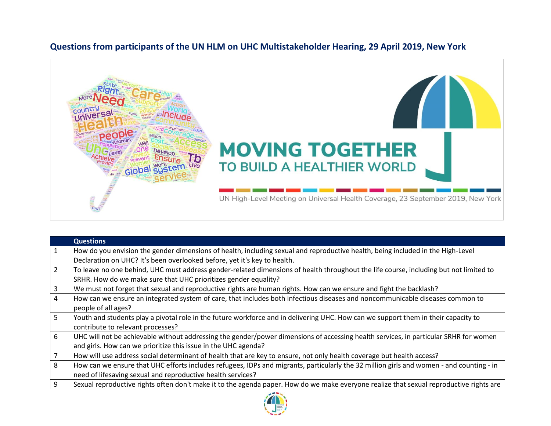

## **Questions from participants of the UN HLM on UHC Multistakeholder Hearing, 29 April 2019, New York**

|                | <b>Questions</b>                                                                                                                         |
|----------------|------------------------------------------------------------------------------------------------------------------------------------------|
| 1              | How do you envision the gender dimensions of health, including sexual and reproductive health, being included in the High-Level          |
|                | Declaration on UHC? It's been overlooked before, yet it's key to health.                                                                 |
| $\overline{2}$ | To leave no one behind, UHC must address gender-related dimensions of health throughout the life course, including but not limited to    |
|                | SRHR. How do we make sure that UHC prioritizes gender equality?                                                                          |
| 3              | We must not forget that sexual and reproductive rights are human rights. How can we ensure and fight the backlash?                       |
| 4              | How can we ensure an integrated system of care, that includes both infectious diseases and noncommunicable diseases common to            |
|                | people of all ages?                                                                                                                      |
| 5              | Youth and students play a pivotal role in the future workforce and in delivering UHC. How can we support them in their capacity to       |
|                | contribute to relevant processes?                                                                                                        |
| 6              | UHC will not be achievable without addressing the gender/power dimensions of accessing health services, in particular SRHR for women     |
|                | and girls. How can we prioritize this issue in the UHC agenda?                                                                           |
| 7              | How will use address social determinant of health that are key to ensure, not only health coverage but health access?                    |
| 8              | How can we ensure that UHC efforts includes refugees, IDPs and migrants, particularly the 32 million girls and women - and counting - in |
|                | need of lifesaving sexual and reproductive health services?                                                                              |
| 9              | Sexual reproductive rights often don't make it to the agenda paper. How do we make everyone realize that sexual reproductive rights are  |
|                |                                                                                                                                          |

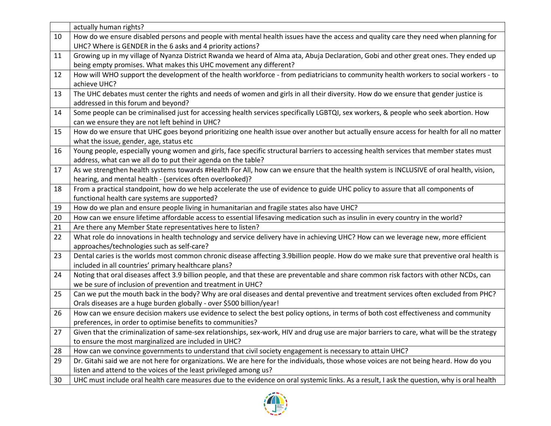|    | actually human rights?                                                                                                                     |
|----|--------------------------------------------------------------------------------------------------------------------------------------------|
| 10 | How do we ensure disabled persons and people with mental health issues have the access and quality care they need when planning for        |
|    | UHC? Where is GENDER in the 6 asks and 4 priority actions?                                                                                 |
| 11 | Growing up in my village of Nyanza District Rwanda we heard of Alma ata, Abuja Declaration, Gobi and other great ones. They ended up       |
|    | being empty promises. What makes this UHC movement any different?                                                                          |
| 12 | How will WHO support the development of the health workforce - from pediatricians to community health workers to social workers - to       |
|    | achieve UHC?                                                                                                                               |
| 13 | The UHC debates must center the rights and needs of women and girls in all their diversity. How do we ensure that gender justice is        |
|    | addressed in this forum and beyond?                                                                                                        |
| 14 | Some people can be criminalised just for accessing health services specifically LGBTQI, sex workers, & people who seek abortion. How       |
|    | can we ensure they are not left behind in UHC?                                                                                             |
| 15 | How do we ensure that UHC goes beyond prioritizing one health issue over another but actually ensure access for health for all no matter   |
|    | what the issue, gender, age, status etc                                                                                                    |
| 16 | Young people, especially young women and girls, face specific structural barriers to accessing health services that member states must     |
|    | address, what can we all do to put their agenda on the table?                                                                              |
| 17 | As we strengthen health systems towards #Health For All, how can we ensure that the health system is INCLUSIVE of oral health, vision,     |
|    | hearing, and mental health - (services often overlooked)?                                                                                  |
| 18 | From a practical standpoint, how do we help accelerate the use of evidence to guide UHC policy to assure that all components of            |
|    | functional health care systems are supported?                                                                                              |
| 19 | How do we plan and ensure people living in humanitarian and fragile states also have UHC?                                                  |
| 20 | How can we ensure lifetime affordable access to essential lifesaving medication such as insulin in every country in the world?             |
| 21 | Are there any Member State representatives here to listen?                                                                                 |
| 22 | What role do innovations in health technology and service delivery have in achieving UHC? How can we leverage new, more efficient          |
|    | approaches/technologies such as self-care?                                                                                                 |
| 23 | Dental caries is the worlds most common chronic disease affecting 3.9billion people. How do we make sure that preventive oral health is    |
|    | included in all countries' primary healthcare plans?                                                                                       |
| 24 | Noting that oral diseases affect 3.9 billion people, and that these are preventable and share common risk factors with other NCDs, can     |
|    | we be sure of inclusion of prevention and treatment in UHC?                                                                                |
| 25 | Can we put the mouth back in the body? Why are oral diseases and dental preventive and treatment services often excluded from PHC?         |
|    | Orals diseases are a huge burden globally - over \$500 billion/year!                                                                       |
| 26 | How can we ensure decision makers use evidence to select the best policy options, in terms of both cost effectiveness and community        |
|    | preferences, in order to optimise benefits to communities?                                                                                 |
| 27 | Given that the criminalization of same-sex relationships, sex-work, HIV and drug use are major barriers to care, what will be the strategy |
|    | to ensure the most marginalized are included in UHC?                                                                                       |
| 28 | How can we convince governments to understand that civil society engagement is necessary to attain UHC?                                    |
| 29 | Dr. Gitahi said we are not here for organizations. We are here for the individuals, those whose voices are not being heard. How do you     |
|    | listen and attend to the voices of the least privileged among us?                                                                          |
| 30 | UHC must include oral health care measures due to the evidence on oral systemic links. As a result, I ask the question, why is oral health |

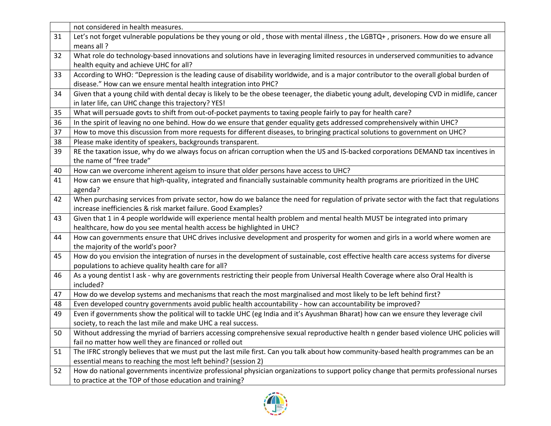|    | not considered in health measures.                                                                                                         |
|----|--------------------------------------------------------------------------------------------------------------------------------------------|
| 31 | Let's not forget vulnerable populations be they young or old, those with mental illness, the LGBTQ+, prisoners. How do we ensure all       |
|    | means all?                                                                                                                                 |
| 32 | What role do technology-based innovations and solutions have in leveraging limited resources in underserved communities to advance         |
|    | health equity and achieve UHC for all?                                                                                                     |
| 33 | According to WHO: "Depression is the leading cause of disability worldwide, and is a major contributor to the overall global burden of     |
|    | disease." How can we ensure mental health integration into PHC?                                                                            |
| 34 | Given that a young child with dental decay is likely to be the obese teenager, the diabetic young adult, developing CVD in midlife, cancer |
|    | in later life, can UHC change this trajectory? YES!                                                                                        |
| 35 | What will persuade govts to shift from out-of-pocket payments to taxing people fairly to pay for health care?                              |
| 36 | In the spirit of leaving no one behind. How do we ensure that gender equality gets addressed comprehensively within UHC?                   |
| 37 | How to move this discussion from more requests for different diseases, to bringing practical solutions to government on UHC?               |
| 38 | Please make identity of speakers, backgrounds transparent.                                                                                 |
| 39 | RE the taxation issue, why do we always focus on african corruption when the US and IS-backed corporations DEMAND tax incentives in        |
|    | the name of "free trade"                                                                                                                   |
| 40 | How can we overcome inherent ageism to insure that older persons have access to UHC?                                                       |
| 41 | How can we ensure that high-quality, integrated and financially sustainable community health programs are prioritized in the UHC           |
|    | agenda?                                                                                                                                    |
| 42 | When purchasing services from private sector, how do we balance the need for regulation of private sector with the fact that regulations   |
|    | increase inefficiencies & risk market failure. Good Examples?                                                                              |
| 43 | Given that 1 in 4 people worldwide will experience mental health problem and mental health MUST be integrated into primary                 |
|    | healthcare, how do you see mental health access be highlighted in UHC?                                                                     |
| 44 | How can governments ensure that UHC drives inclusive development and prosperity for women and girls in a world where women are             |
|    | the majority of the world's poor?                                                                                                          |
| 45 | How do you envision the integration of nurses in the development of sustainable, cost effective health care access systems for diverse     |
|    | populations to achieve quality health care for all?                                                                                        |
| 46 | As a young dentist I ask - why are governments restricting their people from Universal Health Coverage where also Oral Health is           |
|    | included?                                                                                                                                  |
| 47 | How do we develop systems and mechanisms that reach the most marginalised and most likely to be left behind first?                         |
| 48 | Even developed country governments avoid public health accountability - how can accountability be improved?                                |
| 49 | Even if governments show the political will to tackle UHC (eg India and it's Ayushman Bharat) how can we ensure they leverage civil        |
|    | society, to reach the last mile and make UHC a real success.                                                                               |
| 50 | Without addressing the myriad of barriers accessing comprehensive sexual reproductive health n gender based violence UHC policies will     |
|    | fail no matter how well they are financed or rolled out                                                                                    |
| 51 | The IFRC strongly believes that we must put the last mile first. Can you talk about how community-based health programmes can be an        |
|    | essential means to reaching the most left behind? (session 2)                                                                              |
| 52 | How do national governments incentivize professional physician organizations to support policy change that permits professional nurses     |
|    | to practice at the TOP of those education and training?                                                                                    |

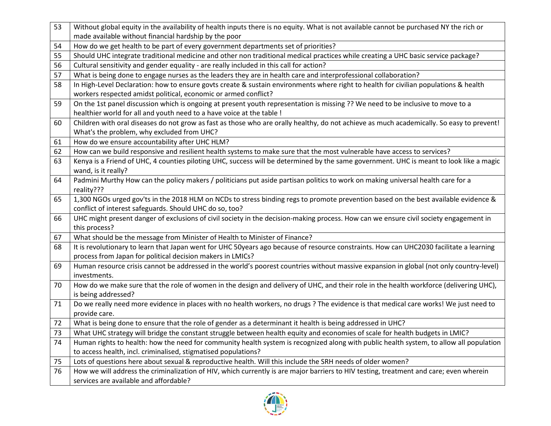| 53 | Without global equity in the availability of health inputs there is no equity. What is not available cannot be purchased NY the rich or                                                                 |
|----|---------------------------------------------------------------------------------------------------------------------------------------------------------------------------------------------------------|
|    | made available without financial hardship by the poor                                                                                                                                                   |
| 54 | How do we get health to be part of every government departments set of priorities?                                                                                                                      |
| 55 | Should UHC integrate traditional medicine and other non traditional medical practices while creating a UHC basic service package?                                                                       |
| 56 | Cultural sensitivity and gender equality - are really included in this call for action?                                                                                                                 |
| 57 | What is being done to engage nurses as the leaders they are in health care and interprofessional collaboration?                                                                                         |
| 58 | In High-Level Declaration: how to ensure govts create & sustain environments where right to health for civilian populations & health<br>workers respected amidst political, economic or armed conflict? |
| 59 | On the 1st panel discussion which is ongoing at present youth representation is missing ?? We need to be inclusive to move to a                                                                         |
|    | healthier world for all and youth need to a have voice at the table !                                                                                                                                   |
| 60 | Children with oral diseases do not grow as fast as those who are orally healthy, do not achieve as much academically. So easy to prevent!<br>What's the problem, why excluded from UHC?                 |
| 61 | How do we ensure accountability after UHC HLM?                                                                                                                                                          |
| 62 | How can we build responsive and resilient health systems to make sure that the most vulnerable have access to services?                                                                                 |
| 63 | Kenya is a Friend of UHC, 4 counties piloting UHC, success will be determined by the same government. UHC is meant to look like a magic<br>wand, is it really?                                          |
| 64 | Padmini Murthy How can the policy makers / politicians put aside partisan politics to work on making universal health care for a<br>reality???                                                          |
| 65 | 1,300 NGOs urged gov'ts in the 2018 HLM on NCDs to stress binding regs to promote prevention based on the best available evidence &<br>conflict of interest safeguards. Should UHC do so, too?          |
| 66 | UHC might present danger of exclusions of civil society in the decision-making process. How can we ensure civil society engagement in<br>this process?                                                  |
| 67 | What should be the message from Minister of Health to Minister of Finance?                                                                                                                              |
| 68 | It is revolutionary to learn that Japan went for UHC 50years ago because of resource constraints. How can UHC2030 facilitate a learning<br>process from Japan for political decision makers in LMICs?   |
| 69 | Human resource crisis cannot be addressed in the world's poorest countries without massive expansion in global (not only country-level)<br>investments.                                                 |
| 70 | How do we make sure that the role of women in the design and delivery of UHC, and their role in the health workforce (delivering UHC),<br>is being addressed?                                           |
| 71 | Do we really need more evidence in places with no health workers, no drugs? The evidence is that medical care works! We just need to<br>provide care.                                                   |
| 72 | What is being done to ensure that the role of gender as a determinant it health is being addressed in UHC?                                                                                              |
| 73 | What UHC strategy will bridge the constant struggle between health equity and economies of scale for health budgets in LMIC?                                                                            |
| 74 | Human rights to health: how the need for community health system is recognized along with public health system, to allow all population                                                                 |
|    | to access health, incl. criminalised, stigmatised populations?                                                                                                                                          |
| 75 | Lots of questions here about sexual & reproductive health. Will this include the SRH needs of older women?                                                                                              |
| 76 | How we will address the criminalization of HIV, which currently is are major barriers to HIV testing, treatment and care; even wherein                                                                  |
|    | services are available and affordable?                                                                                                                                                                  |

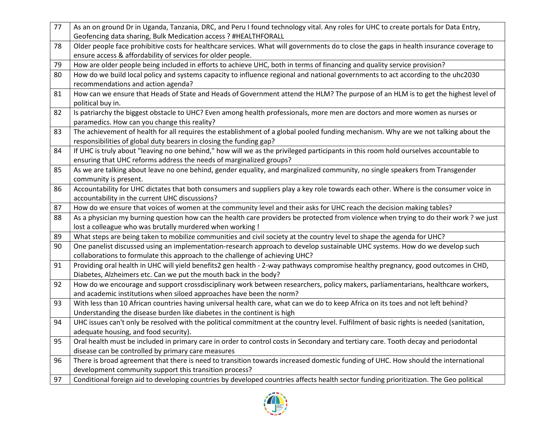| 77 | As an on ground Dr in Uganda, Tanzania, DRC, and Peru I found technology vital. Any roles for UHC to create portals for Data Entry,                                                              |
|----|--------------------------------------------------------------------------------------------------------------------------------------------------------------------------------------------------|
|    | Geofencing data sharing, Bulk Medication access ? #HEALTHFORALL                                                                                                                                  |
| 78 | Older people face prohibitive costs for healthcare services. What will governments do to close the gaps in health insurance coverage to                                                          |
|    | ensure access & affordability of services for older people.                                                                                                                                      |
| 79 | How are older people being included in efforts to achieve UHC, both in terms of financing and quality service provision?                                                                         |
| 80 | How do we build local policy and systems capacity to influence regional and national governments to act according to the uhc2030                                                                 |
|    | recommendations and action agenda?                                                                                                                                                               |
| 81 | How can we ensure that Heads of State and Heads of Government attend the HLM? The purpose of an HLM is to get the highest level of                                                               |
|    | political buy in.                                                                                                                                                                                |
| 82 | Is patriarchy the biggest obstacle to UHC? Even among health professionals, more men are doctors and more women as nurses or                                                                     |
|    | paramedics. How can you change this reality?                                                                                                                                                     |
| 83 | The achievement of health for all requires the establishment of a global pooled funding mechanism. Why are we not talking about the                                                              |
|    | responsibilities of global duty bearers in closing the funding gap?                                                                                                                              |
| 84 | If UHC is truly about "leaving no one behind," how will we as the privileged participants in this room hold ourselves accountable to                                                             |
|    | ensuring that UHC reforms address the needs of marginalized groups?                                                                                                                              |
| 85 | As we are talking about leave no one behind, gender equality, and marginalized community, no single speakers from Transgender                                                                    |
|    | community is present.                                                                                                                                                                            |
| 86 | Accountability for UHC dictates that both consumers and suppliers play a key role towards each other. Where is the consumer voice in                                                             |
|    | accountability in the current UHC discussions?                                                                                                                                                   |
| 87 | How do we ensure that voices of women at the community level and their asks for UHC reach the decision making tables?                                                                            |
|    |                                                                                                                                                                                                  |
| 88 | As a physician my burning question how can the health care providers be protected from violence when trying to do their work? we just                                                            |
|    | lost a colleague who was brutally murdered when working !                                                                                                                                        |
| 89 | What steps are being taken to mobilize communities and civil society at the country level to shape the agenda for UHC?                                                                           |
| 90 | One panelist discussed using an implementation-research approach to develop sustainable UHC systems. How do we develop such                                                                      |
|    | collaborations to formulate this approach to the challenge of achieving UHC?                                                                                                                     |
| 91 | Providing oral health in UHC will yield benefits2 gen health - 2-way pathways compromise healthy pregnancy, good outcomes in CHD,                                                                |
|    | Diabetes, Alzheimers etc. Can we put the mouth back in the body?                                                                                                                                 |
| 92 | How do we encourage and support crossdisciplinary work between researchers, policy makers, parliamentarians, healthcare workers,                                                                 |
|    | and academic institutions when siloed approaches have been the norm?                                                                                                                             |
| 93 | With less than 10 African countries having universal health care, what can we do to keep Africa on its toes and not left behind?                                                                 |
|    | Understanding the disease burden like diabetes in the continent is high                                                                                                                          |
| 94 | UHC issues can't only be resolved with the political commitment at the country level. Fulfilment of basic rights is needed (sanitation,                                                          |
|    | adequate housing, and food security).                                                                                                                                                            |
| 95 | Oral health must be included in primary care in order to control costs in Secondary and tertiary care. Tooth decay and periodontal                                                               |
|    | disease can be controlled by primary care measures                                                                                                                                               |
| 96 | There is broad agreement that there is need to transition towards increased domestic funding of UHC. How should the international                                                                |
| 97 | development community support this transition process?<br>Conditional foreign aid to developing countries by developed countries affects health sector funding prioritization. The Geo political |

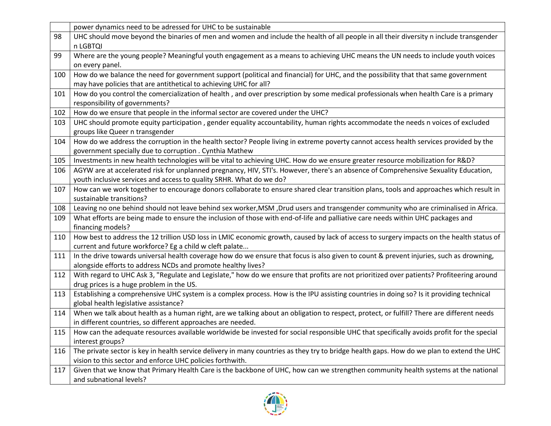|     | power dynamics need to be adressed for UHC to be sustainable                                                                               |
|-----|--------------------------------------------------------------------------------------------------------------------------------------------|
| 98  | UHC should move beyond the binaries of men and women and include the health of all people in all their diversity n include transgender     |
|     | n LGBTQI                                                                                                                                   |
| 99  | Where are the young people? Meaningful youth engagement as a means to achieving UHC means the UN needs to include youth voices             |
|     | on every panel.                                                                                                                            |
| 100 | How do we balance the need for government support (political and financial) for UHC, and the possibility that that same government         |
|     | may have policies that are antithetical to achieving UHC for all?                                                                          |
| 101 | How do you control the comercialization of health, and over prescription by some medical professionals when health Care is a primary       |
|     | responsibility of governments?                                                                                                             |
| 102 | How do we ensure that people in the informal sector are covered under the UHC?                                                             |
| 103 | UHC should promote equity participation, gender equality accountability, human rights accommodate the needs n voices of excluded           |
|     | groups like Queer n transgender                                                                                                            |
| 104 | How do we address the corruption in the health sector? People living in extreme poverty cannot access health services provided by the      |
|     | government specially due to corruption . Cynthia Mathew                                                                                    |
| 105 | Investments in new health technologies will be vital to achieving UHC. How do we ensure greater resource mobilization for R&D?             |
| 106 | AGYW are at accelerated risk for unplanned pregnancy, HIV, STI's. However, there's an absence of Comprehensive Sexuality Education,        |
|     | youth inclusive services and access to quality SRHR. What do we do?                                                                        |
| 107 | How can we work together to encourage donors collaborate to ensure shared clear transition plans, tools and approaches which result in     |
|     | sustainable transitions?                                                                                                                   |
| 108 | Leaving no one behind should not leave behind sex worker, MSM, Drud users and transgender community who are criminalised in Africa.        |
| 109 | What efforts are being made to ensure the inclusion of those with end-of-life and palliative care needs within UHC packages and            |
|     | financing models?                                                                                                                          |
| 110 | How best to address the 12 trillion USD loss in LMIC economic growth, caused by lack of access to surgery impacts on the health status of  |
|     | current and future workforce? Eg a child w cleft palate                                                                                    |
| 111 | In the drive towards universal health coverage how do we ensure that focus is also given to count & prevent injuries, such as drowning,    |
|     | alongside efforts to address NCDs and promote healthy lives?                                                                               |
| 112 | With regard to UHC Ask 3, "Regulate and Legislate," how do we ensure that profits are not prioritized over patients? Profiteering around   |
|     | drug prices is a huge problem in the US.                                                                                                   |
| 113 | Establishing a comprehensive UHC system is a complex process. How is the IPU assisting countries in doing so? Is it providing technical    |
|     | global health legislative assistance?                                                                                                      |
| 114 | When we talk about health as a human right, are we talking about an obligation to respect, protect, or fulfill? There are different needs  |
|     | in different countries, so different approaches are needed.                                                                                |
| 115 | How can the adequate resources available worldwide be invested for social responsible UHC that specifically avoids profit for the special  |
|     | interest groups?                                                                                                                           |
| 116 | The private sector is key in health service delivery in many countries as they try to bridge health gaps. How do we plan to extend the UHC |
|     | vision to this sector and enforce UHC policies forthwith.                                                                                  |
| 117 | Given that we know that Primary Health Care is the backbone of UHC, how can we strengthen community health systems at the national         |
|     | and subnational levels?                                                                                                                    |

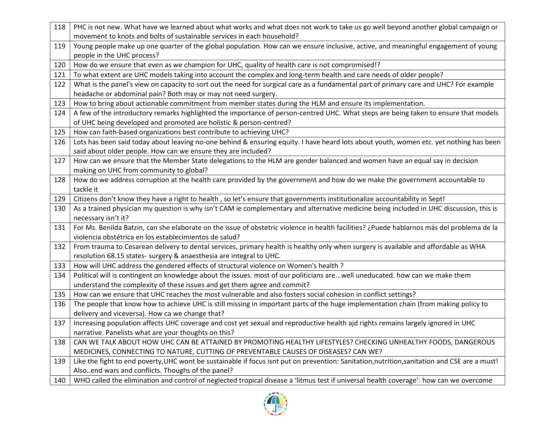| 118 | PHC is not new. What have we learned about what works and what does not work to take us go well beyond another global campaign or                                                                          |
|-----|------------------------------------------------------------------------------------------------------------------------------------------------------------------------------------------------------------|
|     | movement to knots and bolts of sustainable services in each household?                                                                                                                                     |
| 119 | Young people make up one quarter of the global population. How can we ensure inclusive, active, and meaningful engagement of young<br>people in the UHC process?                                           |
| 120 | How do we ensure that even as we champion for UHC, quality of health care is not compromised!?                                                                                                             |
| 121 | To what extent are UHC models taking into account the complex and long-term health and care needs of older people?                                                                                         |
| 122 | What is the panel's view on capacity to sort out the need for surgical care as a fundamental part of primary care and UHC? For example<br>headache or abdominal pain? Both may or may not need surgery.    |
| 123 | How to bring about actionable commitment from member states during the HLM and ensure its implementation.                                                                                                  |
| 124 | A few of the introductory remarks highlighted the importance of person-centred UHC. What steps are being taken to ensure that models<br>of UHC being developed and promoted are holistic & person-centred? |
| 125 | How can faith-based organizations best contribute to achieving UHC?                                                                                                                                        |
| 126 | Lots has been said today about leaving no-one behind & ensuring equity. I have heard lots about youth, women etc. yet nothing has been<br>said about older people. How can we ensure they are included?    |
| 127 | How can we ensure that the Member State delegations to the HLM are gender balanced and women have an equal say in decision<br>making on UHC from community to global?                                      |
| 128 | How do we address corruption at the health care provided by the government and how do we make the government accountable to<br>tackle it                                                                   |
| 129 | Citizens don't know they have a right to health, so let's ensure that governments institutionalize accountability in Sept!                                                                                 |
| 130 | As a trained physician my question is why isn't CAM ie complementary and alternative medicine being included in UHC discussion, this is<br>necessary isn't it?                                             |
| 131 | For Ms. Benilda Batzin, can she elaborate on the issue of obstetric violence in health facilities? ¿Puede hablarnos más del problema de la<br>violencia obstétrica en los establecimientos de salud?       |
| 132 | From trauma to Cesarean delivery to dental services, primary health is healthy only when surgery is available and affordable as WHA<br>resolution 68.15 states- surgery & anaesthesia are integral to UHC. |
| 133 | How will UHC address the gendered effects of structural violence on Women's health ?                                                                                                                       |
| 134 | Political will is contingent on knowledge about the issues. most of our politicians arewell uneducated. how can we make them<br>understand the complexity of these issues and get them agree and commit?   |
| 135 | How can we ensure that UHC reaches the most vulnerable and also fosters social cohesion in conflict settings?                                                                                              |
| 136 | The people that know how to achieve UHC is still missing in important parts of the huge implementation chain (from making policy to<br>delivery and viceversa). How ca we change that?                     |
| 137 | Increasing population affects UHC coverage and cost yet sexual and reproductive health ajd rights remains largely ignored in UHC<br>narrative. Panelists what are your thoughts on this?                   |
| 138 | CAN WE TALK ABOUT HOW UHC CAN BE ATTAINED BY PROMOTING HEALTHY LIFESTYLES? CHECKING UNHEALTHY FOODS, DANGEROUS<br>MEDICINES, CONNECTING TO NATURE, CUTTING OF PREVENTABLE CAUSES OF DISEASES? CAN WE?      |
| 139 | Like the fight to end poverty, UHC wont be sustainable if focus isnt put on prevention: Sanitation, nutrition, sanitation and CSE are a must!<br>Alsoend wars and conflicts. Thoughs of the panel?         |
| 140 | WHO called the elimination and control of neglected tropical disease a 'litmus test if universal health coverage': how can we overcome                                                                     |

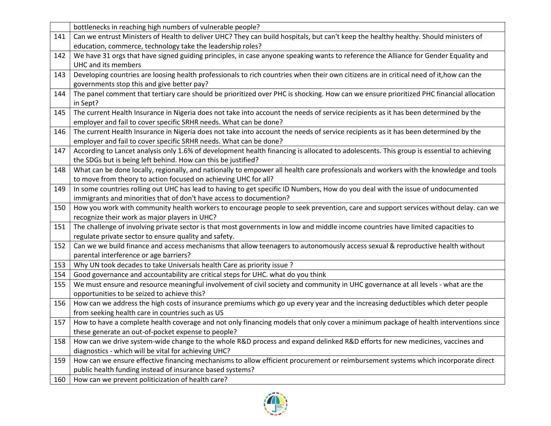|     | bottlenecks in reaching high numbers of vulnerable people?                                                                               |
|-----|------------------------------------------------------------------------------------------------------------------------------------------|
| 141 | Can we entrust Ministers of Health to deliver UHC? They can build hospitals, but can't keep the healthy healthy. Should ministers of     |
|     | education, commerce, technology take the leadership roles?                                                                               |
| 142 | We have 31 orgs that have signed guiding principles, in case anyone speaking wants to reference the Alliance for Gender Equality and     |
|     | UHC and its members                                                                                                                      |
| 143 | Developing countries are loosing health professionals to rich countries when their own citizens are in critical need of it, how can the  |
|     | governments stop this and give better pay?                                                                                               |
| 144 | The panel comment that tertiary care should be prioritized over PHC is shocking. How can we ensure prioritized PHC financial allocation  |
|     | in Sept?                                                                                                                                 |
| 145 | The current Health Insurance in Nigeria does not take into account the needs of service recipients as it has been determined by the      |
|     | employer and fail to cover specific SRHR needs. What can be done?                                                                        |
| 146 | The current Health Insurance in Nigeria does not take into account the needs of service recipients as it has been determined by the      |
|     | employer and fail to cover specific SRHR needs. What can be done?                                                                        |
| 147 | According to Lancet analysis only 1.6% of development health financing is allocated to adolescents. This group is essential to achieving |
|     | the SDGs but is being left behind. How can this be justified?                                                                            |
| 148 | What can be done locally, regionally, and nationally to empower all health care professionals and workers with the knowledge and tools   |
|     | to move from theory to action focused on achieving UHC for all?                                                                          |
| 149 | In some countries rolling out UHC has lead to having to get specific ID Numbers, How do you deal with the issue of undocumented          |
|     | immigrants and minorities that of don't have access to documention?                                                                      |
| 150 | How you work with community health workers to encourage people to seek prevention, care and support services without delay. can we       |
|     | recognize their work as major players in UHC?                                                                                            |
| 151 | The challenge of involving private sector is that most governments in low and middle income countries have limited capacities to         |
|     | regulate private sector to ensure quality and safety.                                                                                    |
| 152 | Can we we build finance and access mechanisms that allow teenagers to autonomously access sexual & reproductive health without           |
|     | parental interference or age barriers?                                                                                                   |
| 153 | Why UN took decades to take Universals health Care as priority issue ?                                                                   |
| 154 | Good governance and accountability are critical steps for UHC. what do you think                                                         |
| 155 | We must ensure and resource meaningful involvement of civil society and community in UHC governance at all levels - what are the         |
|     | opportunities to be seized to achieve this?                                                                                              |
| 156 | How can we address the high costs of insurance premiums which go up every year and the increasing deductibles which deter people         |
|     | from seeking health care in countries such as US                                                                                         |
| 157 | How to have a complete health coverage and not only financing models that only cover a minimum package of health interventions since     |
|     | these generate an out-of-pocket expense to people?                                                                                       |
| 158 | How can we drive system-wide change to the whole R&D process and expand delinked R&D efforts for new medicines, vaccines and             |
|     | diagnostics - which will be vital for achieving UHC?                                                                                     |
| 159 | How can we ensure effective financing mechanisms to allow efficient procurement or reimbursement systems which incorporate direct        |
|     | public health funding instead of insurance based systems?                                                                                |
| 160 | How can we prevent politicization of health care?                                                                                        |

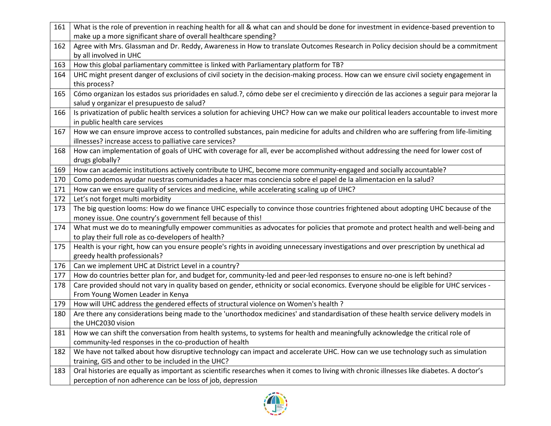| 161 | What is the role of prevention in reaching health for all & what can and should be done for investment in evidence-based prevention to    |
|-----|-------------------------------------------------------------------------------------------------------------------------------------------|
|     | make up a more significant share of overall healthcare spending?                                                                          |
| 162 | Agree with Mrs. Glassman and Dr. Reddy, Awareness in How to translate Outcomes Research in Policy decision should be a commitment         |
|     | by all involved in UHC                                                                                                                    |
| 163 | How this global parliamentary committee is linked with Parliamentary platform for TB?                                                     |
| 164 | UHC might present danger of exclusions of civil society in the decision-making process. How can we ensure civil society engagement in     |
|     | this process?                                                                                                                             |
| 165 | Cómo organizan los estados sus prioridades en salud.?, cómo debe ser el crecimiento y dirección de las acciones a seguir para mejorar la  |
|     | salud y organizar el presupuesto de salud?                                                                                                |
| 166 | Is privatization of public health services a solution for achieving UHC? How can we make our political leaders accountable to invest more |
|     | in public health care services                                                                                                            |
| 167 | How we can ensure improve access to controlled substances, pain medicine for adults and children who are suffering from life-limiting     |
|     | illnesses? increase access to palliative care services?                                                                                   |
| 168 | How can implementation of goals of UHC with coverage for all, ever be accomplished without addressing the need for lower cost of          |
|     | drugs globally?                                                                                                                           |
| 169 | How can academic institutions actively contribute to UHC, become more community-engaged and socially accountable?                         |
| 170 | Como podemos ayudar nuestras comunidades a hacer mas conciencia sobre el papel de la alimentacion en la salud?                            |
| 171 | How can we ensure quality of services and medicine, while accelerating scaling up of UHC?                                                 |
| 172 | Let's not forget multi morbidity                                                                                                          |
| 173 | The big question looms: How do we finance UHC especially to convince those countries frightened about adopting UHC because of the         |
|     | money issue. One country's government fell because of this!                                                                               |
| 174 | What must we do to meaningfully empower communities as advocates for policies that promote and protect health and well-being and          |
|     | to play their full role as co-developers of health?                                                                                       |
| 175 | Health is your right, how can you ensure people's rights in avoiding unnecessary investigations and over prescription by unethical ad     |
|     | greedy health professionals?                                                                                                              |
| 176 | Can we implement UHC at District Level in a country?                                                                                      |
| 177 | How do countries better plan for, and budget for, community-led and peer-led responses to ensure no-one is left behind?                   |
| 178 | Care provided should not vary in quality based on gender, ethnicity or social economics. Everyone should be eligible for UHC services -   |
|     | From Young Women Leader in Kenya                                                                                                          |
| 179 | How will UHC address the gendered effects of structural violence on Women's health ?                                                      |
| 180 | Are there any considerations being made to the 'unorthodox medicines' and standardisation of these health service delivery models in      |
|     | the UHC2030 vision                                                                                                                        |
| 181 | How we can shift the conversation from health systems, to systems for health and meaningfully acknowledge the critical role of            |
|     | community-led responses in the co-production of health                                                                                    |
| 182 | We have not talked about how disruptive technology can impact and accelerate UHC. How can we use technology such as simulation            |
|     | training, GIS and other to be included in the UHC?                                                                                        |
| 183 | Oral histories are equally as important as scientific researches when it comes to living with chronic illnesses like diabetes. A doctor's |
|     | perception of non adherence can be loss of job, depression                                                                                |